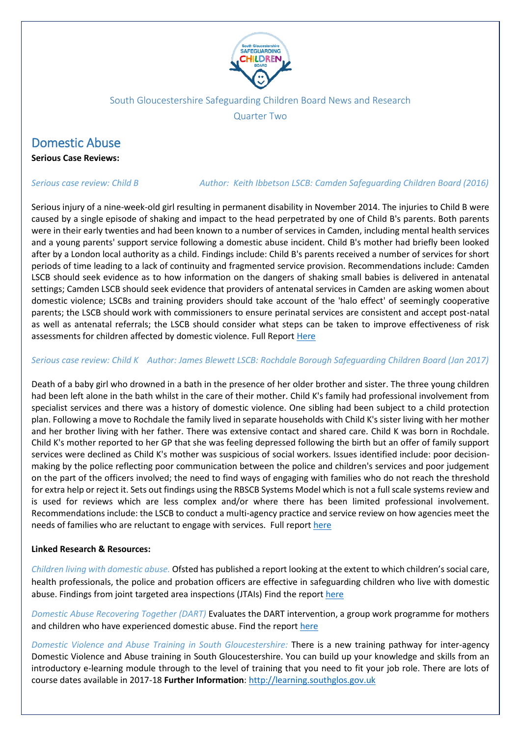

### South Gloucestershire Safeguarding Children Board News and Research

Quarter Two

## Domestic Abuse

**Serious Case Reviews:**

### *Serious case review: Child B Author: Keith [Ibbetson](https://library.nspcc.org.uk/HeritageScripts/Hapi.dll/search2?SearchTerm=KEITH+IBBETSON&Fields=A&Media=%23&Dispfmt=B&SearchPrecision=10&DataSetName=LIVEDATA) LSCB: [Camden Safeguarding Children Board](https://library.nspcc.org.uk/HeritageScripts/Hapi.dll/search2?SearchTerm=CAMDEN+SAFEGUARDING+CHILDREN+BOARD&Fields=P&Media=%23&Dispfmt=B&SearchPrecision=10&DataSetName=LIVEDATA) (2016)*

Serious injury of a nine-week-old girl resulting in permanent disability in November 2014. The injuries to Child B were caused by a single episode of shaking and impact to the head perpetrated by one of Child B's parents. Both parents were in their early twenties and had been known to a number of services in Camden, including mental health services and a young parents' support service following a domestic abuse incident. Child B's mother had briefly been looked after by a London local authority as a child. Findings include: Child B's parents received a number of services for short periods of time leading to a lack of continuity and fragmented service provision. Recommendations include: Camden LSCB should seek evidence as to how information on the dangers of shaking small babies is delivered in antenatal settings; Camden LSCB should seek evidence that providers of antenatal services in Camden are asking women about domestic violence; LSCBs and training providers should take account of the 'halo effect' of seemingly cooperative parents; the LSCB should work with commissioners to ensure perinatal services are consistent and accept post-natal as well as antenatal referrals; the LSCB should consider what steps can be taken to improve effectiveness of risk assessments for children affected by domestic violence. Full Report [Here](https://library.nspcc.org.uk/HeritageScripts/Hapi.dll/filetransfer/2016CamdenChildBOverview.pdf?filename=AA58F75CEDE68892A73FB681FE246B8371684F102152F0AA780A14959D3BCE5767137B3B2A935011CBAEC3068664FF681AA6D2524E357BAB96C006752CCD756759AD77BD1E389823A55CFAAE74B2EE64F46C611AD1724BE1AC50776135E5AAAFFECACF7BEF2674FE2EAD31A556ED10E85B08F454C4BB30EE4FB2CC59AD52538247E05D4950EC2E9C0B48BC5389A10EF621E65FA372&DataSetName=LIVEDATA)

#### *Serious case review: Child K Author: James [Blewett](https://library.nspcc.org.uk/HeritageScripts/Hapi.dll/search2?SearchTerm=JAMES+BLEWETT&Fields=A&Media=%23&Dispfmt=B&SearchPrecision=10&DataSetName=LIVEDATA) LSCB: [Rochdale Borough Safeguarding Children Board](https://library.nspcc.org.uk/HeritageScripts/Hapi.dll/search2?SearchTerm=ROCHDALE+BOROUGH+SAFEGUARDING+CHILDREN+BOARD&Fields=P&Media=%23&Dispfmt=B&SearchPrecision=10&DataSetName=LIVEDATA) (Jan 2017)*

Death of a baby girl who drowned in a bath in the presence of her older brother and sister. The three young children had been left alone in the bath whilst in the care of their mother. Child K's family had professional involvement from specialist services and there was a history of domestic violence. One sibling had been subject to a child protection plan. Following a move to Rochdale the family lived in separate households with Child K's sister living with her mother and her brother living with her father. There was extensive contact and shared care. Child K was born in Rochdale. Child K's mother reported to her GP that she was feeling depressed following the birth but an offer of family support services were declined as Child K's mother was suspicious of social workers. Issues identified include: poor decisionmaking by the police reflecting poor communication between the police and children's services and poor judgement on the part of the officers involved; the need to find ways of engaging with families who do not reach the threshold for extra help or reject it. Sets out findings using the RBSCB Systems Model which is not a full scale systems review and is used for reviews which are less complex and/or where there has been limited professional involvement. Recommendations include: the LSCB to conduct a multi-agency practice and service review on how agencies meet the needs of families who are reluctant to engage with services. Full report [here](https://library.nspcc.org.uk/HeritageScripts/Hapi.dll/filetransfer/2017RochdaleChildKOverview.pdf?filename=AA58F75CEDE68892A73FB681FE246B8371684F102152F0AA780A14959D3BCE5767137B3B2A935011CBAEC3068664FF681AA6D2524E357BAB96C006752CCD756759AD77BD1E389823A55CFAAE74B2EE64F46C611AD1724BE1AC50776135E4AAAFFECACF7BEE377AF022AC3E8A5BC714E57523C97EC0A82BFD51F9CB13BB656AE3FD9EF1048102E780EE1AD4DEF2B3D1EA61CCDF5FD96ECC&DataSetName=LIVEDATA)

#### **Linked Research & Resources:**

*Children living with domestic abuse.* Ofsted has published a report looking at the extent to which children's social care, health professionals, the police and probation officers are effective in safeguarding children who live with domestic abuse. Findings from joint targeted area inspections (JTAIs) Find the report [here](https://www.gov.uk/government/uploads/system/uploads/attachment_data/file/645642/JTAI_domestic_abuse_18_Sept_2017.pdf)

*Domestic Abuse Recovering Together (DART)* Evaluates the DART intervention, a group work programme for mothers and children who have experienced domestic abuse. Find the report [here](https://www.nspcc.org.uk/globalassets/documents/evaluation-of-services/dart-domestic-abuse-recovering-together-evaluation-report.pdf?utm_source=Adestra&utm_medium=email&utm_content=Domestic%20abuse%2C%20recovering%20together%20%28DART%29.&utm_campaign=nitl-newsletter)

*Domestic Violence and Abuse Training in South Gloucestershire:* There is a new training pathway for inter-agency Domestic Violence and Abuse training in South Gloucestershire. You can build up your knowledge and skills from an introductory e-learning module through to the level of training that you need to fit your job role. There are lots of course dates available in 2017-18 **Further Information**: [http://learning.southglos.gov.uk](http://learning.southglos.gov.uk/)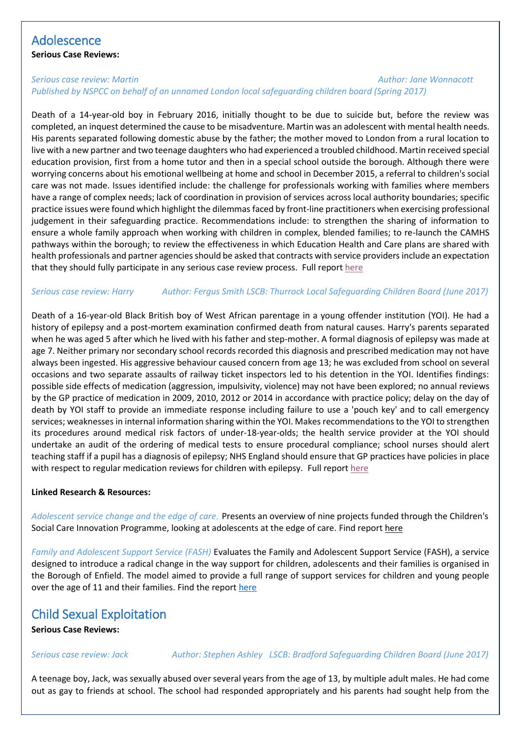## Adolescence

**Serious Case Reviews:**

### *Serious case review: Martin Author: Jane [Wonnacott](https://library.nspcc.org.uk/HeritageScripts/Hapi.dll/search2?SearchTerm=JANE+WONNACOTT&Fields=A&Media=%23&Dispfmt=B&SearchPrecision=10&DataSetName=LIVEDATA) Published by NSPCC on behalf of an unnamed London [local safeguarding children board](https://library.nspcc.org.uk/HeritageScripts/Hapi.dll/search2?SearchTerm=NSPCC+ON+BEHALF+OF+AN+UNNAMED+LOCAL+SAFEGUARDING+CHILDREN+BOARD&Fields=P&Media=%23&Dispfmt=B&SearchPrecision=10&DataSetName=LIVEDATA) (Spring 2017)*

Death of a 14-year-old boy in February 2016, initially thought to be due to suicide but, before the review was completed, an inquest determined the cause to be misadventure. Martin was an adolescent with mental health needs. His parents separated following domestic abuse by the father; the mother moved to London from a rural location to live with a new partner and two teenage daughters who had experienced a troubled childhood. Martin received special education provision, first from a home tutor and then in a special school outside the borough. Although there were worrying concerns about his emotional wellbeing at home and school in December 2015, a referral to children's social care was not made. Issues identified include: the challenge for professionals working with families where members have a range of complex needs; lack of coordination in provision of services across local authority boundaries; specific practice issues were found which highlight the dilemmas faced by front-line practitioners when exercising professional judgement in their safeguarding practice. Recommendations include: to strengthen the sharing of information to ensure a whole family approach when working with children in complex, blended families; to re-launch the CAMHS pathways within the borough; to review the effectiveness in which Education Health and Care plans are shared with health professionals and partner agencies should be asked that contracts with service providers include an expectation that they should fully participate in any serious case review process. Full report [here](https://library.nspcc.org.uk/HeritageScripts/Hapi.dll/filetransfer/2017AnonymousMartinOverview.pdf?filename=AA58F75CEDE68892A73FB681FE246B8371684F102152F0AA780A14959D3BCE5767137B3B2A935011CBAEC3068664FF681AA6D2524E357BAB96C006752CCD756759AD77BD1E389823A55CFAAE74B2EE64F46C611AD1724BE1AC50776135E4AAAFFECACF7BEE247BFC24B132894BF731ED6B33EB5FF9BB3CF94EF5D94AE5716835A9A8AB9BAD6357DF0E9CB32856FF4DCC025B2AB4DCB43599&DataSetName=LIVEDATA)

### *Serious case review: Harry Author: [Fergus](https://library.nspcc.org.uk/HeritageScripts/Hapi.dll/search2?SearchTerm=FERGUS+SMITH&Fields=A&Media=%23&Dispfmt=B&SearchPrecision=10&DataSetName=LIVEDATA) Smith LSCB: [Thurrock Local Safeguarding Children Board](https://library.nspcc.org.uk/HeritageScripts/Hapi.dll/search2?SearchTerm=THURROCK+LOCAL+SAFEGUARDING+CHILDREN+BOARD&Fields=P&Media=%23&Dispfmt=B&SearchPrecision=10&DataSetName=LIVEDATA) (June 2017)*

Death of a 16-year-old Black British boy of West African parentage in a young offender institution (YOI). He had a history of epilepsy and a post-mortem examination confirmed death from natural causes. Harry's parents separated when he was aged 5 after which he lived with his father and step-mother. A formal diagnosis of epilepsy was made at age 7. Neither primary nor secondary school records recorded this diagnosis and prescribed medication may not have always been ingested. His aggressive behaviour caused concern from age 13; he was excluded from school on several occasions and two separate assaults of railway ticket inspectors led to his detention in the YOI. Identifies findings: possible side effects of medication (aggression, impulsivity, violence) may not have been explored; no annual reviews by the GP practice of medication in 2009, 2010, 2012 or 2014 in accordance with practice policy; delay on the day of death by YOI staff to provide an immediate response including failure to use a 'pouch key' and to call emergency services; weaknesses in internal information sharing within the YOI. Makes recommendations to the YOI to strengthen its procedures around medical risk factors of under-18-year-olds; the health service provider at the YOI should undertake an audit of the ordering of medical tests to ensure procedural compliance; school nurses should alert teaching staff if a pupil has a diagnosis of epilepsy; NHS England should ensure that GP practices have policies in place with respect to regular medication reviews for children with epilepsy. Full repor[t here](https://library.nspcc.org.uk/HeritageScripts/Hapi.dll/filetransfer/2017ThurrockHarryOverview.pdf?filename=AA58F75CEDE68892A73FB681FE246B8371684F102152F0AA780A14959D3BCE5767137B3B2A935011CBAEC3068664FF681AA6D2524E357BAB96C006752CCD756759AD77BD1E389823A55CFAAE74B2EE64F46C611AD1724BE1AC50776135E4AAAFFECACF7BEE317DE638BA308555CC1DFE6B3ECD47D3BF2FE25DEB924DAF679F6C4D157128E0B279CCC3686605D39AEB776BD868235F22&DataSetName=LIVEDATA)

#### **Linked Research & Resources:**

*Adolescent service change and the edge of care.* Presents an overview of nine projects funded through the Children's Social Care Innovation Programme, looking at adolescents at the edge of care. Find repor[t here](http://reescentre.education.ox.ac.uk/wordpress/wp-content/uploads/2017/07/Thematic-Report-2017-AdolescentServiceChange_EdgeOfCare.pdf)

*Family and Adolescent Support Service (FASH)* Evaluates the Family and Adolescent Support Service (FASH), a service designed to introduce a radical change in the way support for children, adolescents and their families is organised in the Borough of Enfield. The model aimed to provide a full range of support services for children and young people over the age of 11 and their families. Find the repor[t here](https://www.gov.uk/government/uploads/system/uploads/attachment_data/file/625240/Evaluation_of_Enfield_Family_and_Adolescent_Support_Service.pdf)

## Child Sexual Exploitation

**Serious Case Reviews:**

*Serious case review: Jack Author: Stephen Ashley LSCB: Bradford Safeguarding Children Board (June 2017)*

A teenage boy, Jack, was sexually abused over several years from the age of 13, by multiple adult males. He had come out as gay to friends at school. The school had responded appropriately and his parents had sought help from the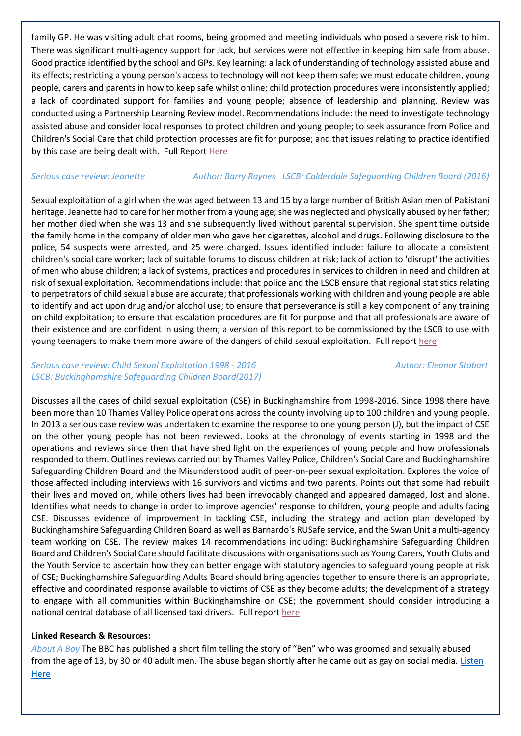family GP. He was visiting adult chat rooms, being groomed and meeting individuals who posed a severe risk to him. There was significant multi-agency support for Jack, but services were not effective in keeping him safe from abuse. Good practice identified by the school and GPs. Key learning: a lack of understanding of technology assisted abuse and its effects; restricting a young person's access to technology will not keep them safe; we must educate children, young people, carers and parents in how to keep safe whilst online; child protection procedures were inconsistently applied; a lack of coordinated support for families and young people; absence of leadership and planning. Review was conducted using a Partnership Learning Review model. Recommendations include: the need to investigate technology assisted abuse and consider local responses to protect children and young people; to seek assurance from Police and Children's Social Care that child protection processes are fit for purpose; and that issues relating to practice identified by this case are being dealt with. Full Repor[t Here](https://library.nspcc.org.uk/HeritageScripts/Hapi.dll/filetransfer/2017BradfordJackOverview.pdf?filename=AA58F75CEDE68892A73FB681FE246B8371684F102152F0AA780A14959D3BCE5767137B3B2A935011CBAEC3068664FF681AA6D2524E357BAB96C006752CCD756759AD77BD1E389823A55CFAAE74B2EE64F46C611AD1724BE1AC50776135E4AAAFFECACF7BEE2767F22EAE30945ACE1DEF7208F454C4BB30EE4FB2CC59AD43F1C35BE05D4950B32978082751097D8DA604965A71A1EB&DataSetName=LIVEDATA)

#### *Serious case review: Jeanette Author: Barry Raynes LSCB: [Calderdale Safeguarding Children Board](https://library.nspcc.org.uk/HeritageScripts/Hapi.dll/search2?SearchTerm=CALDERDALE+SAFEGUARDING+CHILDREN+BOARD&Fields=P&Media=%23&Dispfmt=B&SearchPrecision=10&DataSetName=LIVEDATA) (2016)*

Sexual exploitation of a girl when she was aged between 13 and 15 by a large number of British Asian men of Pakistani heritage. Jeanette had to care for her mother from a young age; she was neglected and physically abused by her father; her mother died when she was 13 and she subsequently lived without parental supervision. She spent time outside the family home in the company of older men who gave her cigarettes, alcohol and drugs. Following disclosure to the police, 54 suspects were arrested, and 25 were charged. Issues identified include: failure to allocate a consistent children's social care worker; lack of suitable forums to discuss children at risk; lack of action to 'disrupt' the activities of men who abuse children; a lack of systems, practices and procedures in services to children in need and children at risk of sexual exploitation. Recommendations include: that police and the LSCB ensure that regional statistics relating to perpetrators of child sexual abuse are accurate; that professionals working with children and young people are able to identify and act upon drug and/or alcohol use; to ensure that perseverance is still a key component of any training on child exploitation; to ensure that escalation procedures are fit for purpose and that all professionals are aware of their existence and are confident in using them; a version of this report to be commissioned by the LSCB to use with young teenagers to make them more aware of the dangers of child sexual exploitation. Full repor[t here](https://library.nspcc.org.uk/HeritageScripts/Hapi.dll/filetransfer/2016CalderdaleChildMJeanetteOverview.pdf?filename=AA58F75CEDE68892A73FB681FE246B8371684F102152F0AA780A14959D3BCE5767137B3B2A935011CBAEC3068664FF681AA6D2524E357BAB96C006752CCD756759AD77BD1E389823A55CFAAE74B2EE64F46C611AD1724BE1AC50776135E5AAAFFECACF7BEF2674FF2EAD2D825FE819CF712EEE55FB873CEA56F9C849AE4E7A36CE2AA5DC67DCD7FBBE310FA76BFB0F3FB03229F1BAAEDB9472D956F8D7D0AA7FA8&DataSetName=LIVEDATA)

### *Serious case review: Child Sexual Exploitation 1998 - 2016* Author: *Eleanor Stobart Author: [Eleanor](https://library.nspcc.org.uk/HeritageScripts/Hapi.dll/search2?SearchTerm=ELEANOR+STOBART&Fields=A&Media=%23&Dispfmt=B&SearchPrecision=10&DataSetName=LIVEDATA) Stobart LSCB: [Buckinghamshire Safeguarding Children Board\(](https://library.nspcc.org.uk/HeritageScripts/Hapi.dll/search2?SearchTerm=BUCKINGHAMSHIRE+SAFEGUARDING+CHILDREN+BOARD&Fields=P&Media=%23&Dispfmt=B&SearchPrecision=10&DataSetName=LIVEDATA)2017)*

Discusses all the cases of child sexual exploitation (CSE) in Buckinghamshire from 1998-2016. Since 1998 there have been more than 10 Thames Valley Police operations across the county involving up to 100 children and young people. In 2013 a serious case review was undertaken to examine the response to one young person (J), but the impact of CSE on the other young people has not been reviewed. Looks at the chronology of events starting in 1998 and the operations and reviews since then that have shed light on the experiences of young people and how professionals responded to them. Outlines reviews carried out by Thames Valley Police, Children's Social Care and Buckinghamshire Safeguarding Children Board and the Misunderstood audit of peer-on-peer sexual exploitation. Explores the voice of those affected including interviews with 16 survivors and victims and two parents. Points out that some had rebuilt their lives and moved on, while others lives had been irrevocably changed and appeared damaged, lost and alone. Identifies what needs to change in order to improve agencies' response to children, young people and adults facing CSE. Discusses evidence of improvement in tackling CSE, including the strategy and action plan developed by Buckinghamshire Safeguarding Children Board as well as Barnardo's RUSafe service, and the Swan Unit a multi-agency team working on CSE. The review makes 14 recommendations including: Buckinghamshire Safeguarding Children Board and Children's Social Care should facilitate discussions with organisations such as Young Carers, Youth Clubs and the Youth Service to ascertain how they can better engage with statutory agencies to safeguard young people at risk of CSE; Buckinghamshire Safeguarding Adults Board should bring agencies together to ensure there is an appropriate, effective and coordinated response available to victims of CSE as they become adults; the development of a strategy to engage with all communities within Buckinghamshire on CSE; the government should consider introducing a national central database of all licensed taxi drivers. Full report [here](http://www.bucks-lscb.org.uk/wp-content/uploads/Serious_Case_Reviews/CSE-Serious-Case-Review.pdf)

### **Linked Research & Resources:**

*About A Boy* The BBC has published a short film telling the story of "Ben" who was groomed and sexually abused from the age of 13, by 30 or 40 adult men. The abuse began shortly after he came out as gay on social media. [Listen](http://www.bbc.co.uk/programmes/b08y134b)  **[Here](http://www.bbc.co.uk/programmes/b08y134b)**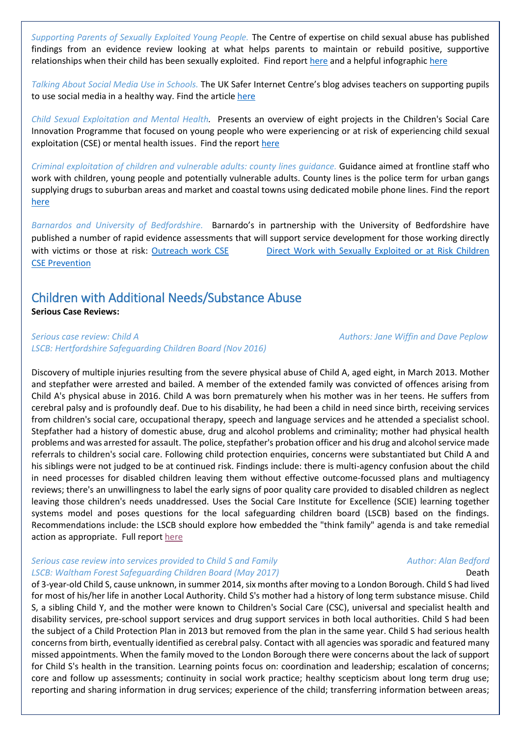*Supporting Parents of Sexually Exploited Young People.* The Centre of expertise on child sexual abuse has published findings from an evidence review looking at what helps parents to maintain or rebuild positive, supportive relationships when their child has been sexually exploited. Find report [here](https://www.csacentre.org.uk/research-publications/supporting-parents/evidence-review-by-sara-scott-and-di-mcneish-dmss-research/) and a helpful infographic [here](https://www.csacentre.org.uk/research-publications/supporting-parents/supporting-parents-infographic/)

*Talking About Social Media Use in Schools.* The UK Safer Internet Centre's blog advises teachers on supporting pupils to use social media in a healthy way. Find the article [here](https://www.saferinternet.org.uk/blog/back-school-top-tips-supporting-young-people-new-academic-year)

*Child Sexual Exploitation and Mental Health.* Presents an overview of eight projects in the Children's Social Care Innovation Programme that focused on young people who were experiencing or at risk of experiencing child sexual exploitation (CSE) or mental health issues. Find the report [here](http://reescentre.education.ox.ac.uk/wordpress/wp-content/uploads/2017/07/Thematic-report-2017-CSE_mentalhealth.pdf)

*Criminal exploitation of children and vulnerable adults: county lines guidance.* Guidance aimed at frontline staff who work with children, young people and potentially vulnerable adults. County lines is the police term for urban gangs supplying drugs to suburban areas and market and coastal towns using dedicated mobile phone lines. Find the report [here](https://www.gov.uk/government/uploads/system/uploads/attachment_data/file/626770/6_3505_HO_Child_exploitation_FINAL_web__2_.pdf)

*Barnardos and University of Bedfordshire.* Barnardo's in partnership with the University of Bedfordshire have published a number of rapid evidence assessments that will support service development for those working directly with victims or those at risk: [Outreach work CSE](https://www.beds.ac.uk/__data/assets/pdf_file/0005/540491/FINAL-REA-21.pdf?bcsi_scan_3316d075d5e073ed=0&bcsi_scan_filename=FINAL-REA-21.pdf) Direct Work with Sexually Exploited or at Risk Children [CSE Prevention](https://www.beds.ac.uk/__data/assets/pdf_file/0004/540490/FINAL-REA-1.pdf?bcsi_scan_3316d075d5e073ed=1)

# Children with Additional Needs/Substance Abuse

#### **Serious Case Reviews:**

#### *Serious case review: Child A Authors: Jane [Wiffin](https://library.nspcc.org.uk/HeritageScripts/Hapi.dll/search2?SearchTerm=JANE+WIFFIN&Fields=A&Media=%23&Dispfmt=B&SearchPrecision=10&DataSetName=LIVEDATA) and Dave [Peplow](https://library.nspcc.org.uk/HeritageScripts/Hapi.dll/search2?SearchTerm=DAVE+PEPLOW&Fields=A&Media=%23&Dispfmt=B&SearchPrecision=10&DataSetName=LIVEDATA) LSCB: [Hertfordshire Safeguarding Children Board](https://library.nspcc.org.uk/HeritageScripts/Hapi.dll/search2?SearchTerm=HERTFORDSHIRE+SAFEGUARDING+CHILDREN+BOARD&Fields=P&Media=%23&Dispfmt=B&SearchPrecision=10&DataSetName=LIVEDATA) (Nov 2016)*

Discovery of multiple injuries resulting from the severe physical abuse of Child A, aged eight, in March 2013. Mother and stepfather were arrested and bailed. A member of the extended family was convicted of offences arising from Child A's physical abuse in 2016. Child A was born prematurely when his mother was in her teens. He suffers from cerebral palsy and is profoundly deaf. Due to his disability, he had been a child in need since birth, receiving services from children's social care, occupational therapy, speech and language services and he attended a specialist school. Stepfather had a history of domestic abuse, drug and alcohol problems and criminality; mother had physical health problems and was arrested for assault. The police, stepfather's probation officer and his drug and alcohol service made referrals to children's social care. Following child protection enquiries, concerns were substantiated but Child A and his siblings were not judged to be at continued risk. Findings include: there is multi-agency confusion about the child in need processes for disabled children leaving them without effective outcome-focussed plans and multiagency reviews; there's an unwillingness to label the early signs of poor quality care provided to disabled children as neglect leaving those children's needs unaddressed. Uses the Social Care Institute for Excellence (SCIE) learning together systems model and poses questions for the local safeguarding children board (LSCB) based on the findings. Recommendations include: the LSCB should explore how embedded the "think family" agenda is and take remedial action as appropriate. Full report [here](https://library.nspcc.org.uk/HeritageScripts/Hapi.dll/filetransfer/2016HertfordshireChildAOverview.pdf?filename=AA58F75CEDE68892A73FB681FE246B8371684F102152F0AA780A14959D3BCE5767137B3B2A935011CBAEC3068664FF681AA6D2524E357BAB96C006752CCD756759AD77BD1E389823A55CFAAE74B2EE64F46C611AD1724BE1AC50776135E5AAAFFECACF7BEF2D70E13EAE30945AF714E56B22C159DFA13DCA77EAD94FBD686924922CA8DF2700988F655F9209BBD71499A65261F1FCA5A7F4CDA25ECD&DataSetName=LIVEDATA)

#### *Serious case review into services provided to Child S and Family Author: Alan <i>Author: Alan [Bedford](https://library.nspcc.org.uk/HeritageScripts/Hapi.dll/search2?SearchTerm=ALAN+BEDFORD&Fields=A&Media=%23&Dispfmt=B&SearchPrecision=10&DataSetName=LIVEDATA) LSCB: [Waltham Forest Safeguarding Children Board](https://library.nspcc.org.uk/HeritageScripts/Hapi.dll/search2?SearchTerm=WALTHAM+FOREST+SAFEGUARDING+CHILDREN+BOARD&Fields=P&Media=%23&Dispfmt=B&SearchPrecision=10&DataSetName=LIVEDATA) (May 2017)* **Death**

of 3-year-old Child S, cause unknown, in summer 2014, six months after moving to a London Borough. Child S had lived for most of his/her life in another Local Authority. Child S's mother had a history of long term substance misuse. Child S, a sibling Child Y, and the mother were known to Children's Social Care (CSC), universal and specialist health and disability services, pre-school support services and drug support services in both local authorities. Child S had been the subject of a Child Protection Plan in 2013 but removed from the plan in the same year. Child S had serious health concerns from birth, eventually identified as cerebral palsy. Contact with all agencies was sporadic and featured many missed appointments. When the family moved to the London Borough there were concerns about the lack of support for Child S's health in the transition. Learning points focus on: coordination and leadership; escalation of concerns; core and follow up assessments; continuity in social work practice; healthy scepticism about long term drug use; reporting and sharing information in drug services; experience of the child; transferring information between areas;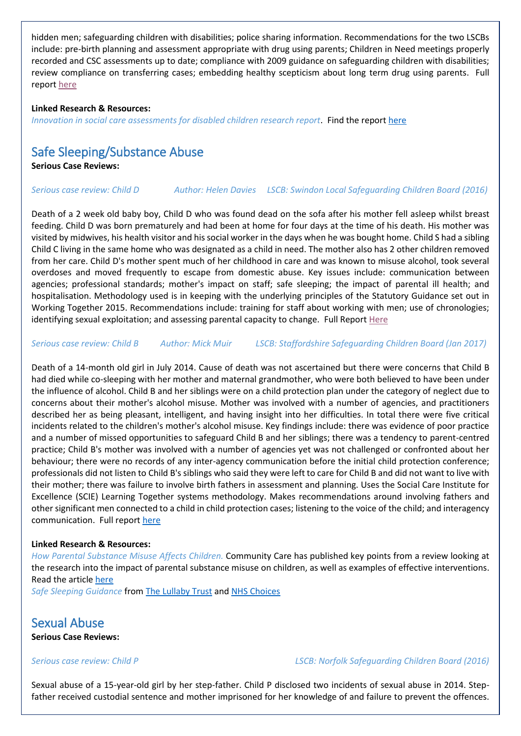hidden men; safeguarding children with disabilities; police sharing information. Recommendations for the two LSCBs include: pre-birth planning and assessment appropriate with drug using parents; Children in Need meetings properly recorded and CSC assessments up to date; compliance with 2009 guidance on safeguarding children with disabilities; review compliance on transferring cases; embedding healthy scepticism about long term drug using parents. Full report [here](https://library.nspcc.org.uk/HeritageScripts/Hapi.dll/filetransfer/2017WalthamForestChildSOverview.pdf?filename=AA58F75CEDE68892A73FB681FE246B8371684F102152F0AA780A14959D3BCE5767137B3B2A935011CBAEC3068664FF681AA6D2524E357BAB96C006752CCD756759AD77BD1E389823A55CFAAE74B2EE64F46C611AD1724BE1AC50776135E4AAAFFECACF7BEE3274FF3EA03E8B78EB0EE96A33C159DFA13DD877EAD94FBD686924922CA8DF01B2E4AA655F9209641936F974AE746C00ADA470EB0441C0&DataSetName=LIVEDATA)

#### **Linked Research & Resources:**

*Innovation in social care assessments for disabled children research report*. Find the repor[t here](https://www.gov.uk/government/uploads/system/uploads/attachment_data/file/624843/Innovation_in_social_care_assessments_for_disabled_children.pdf)

## Safe Sleeping/Substance Abuse

**Serious Case Reviews:**

#### *Serious case review: Child D Author: Helen [Davies](https://library.nspcc.org.uk/HeritageScripts/Hapi.dll/search2?SearchTerm=HELEN+DAVIES&Fields=A&Media=%23&Dispfmt=B&SearchPrecision=10&DataSetName=LIVEDATA) LSCB: [Swindon Local Safeguarding Children Board](https://library.nspcc.org.uk/HeritageScripts/Hapi.dll/search2?SearchTerm=SWINDON+LOCAL+SAFEGUARDING+CHILDREN+BOARD&Fields=P&Media=%23&Dispfmt=B&SearchPrecision=10&DataSetName=LIVEDATA) (2016)*

Death of a 2 week old baby boy, Child D who was found dead on the sofa after his mother fell asleep whilst breast feeding. Child D was born prematurely and had been at home for four days at the time of his death. His mother was visited by midwives, his health visitor and his social worker in the days when he was bought home. Child S had a sibling Child C living in the same home who was designated as a child in need. The mother also has 2 other children removed from her care. Child D's mother spent much of her childhood in care and was known to misuse alcohol, took several overdoses and moved frequently to escape from domestic abuse. Key issues include: communication between agencies; professional standards; mother's impact on staff; safe sleeping; the impact of parental ill health; and hospitalisation. Methodology used is in keeping with the underlying principles of the Statutory Guidance set out in Working Together 2015. Recommendations include: training for staff about working with men; use of chronologies; identifying sexual exploitation; and assessing parental capacity to change. Full Repor[t Here](https://library.nspcc.org.uk/HeritageScripts/Hapi.dll/filetransfer/2016SwindonChildDOverview.pdf?filename=AA58F75CEDE68892A73FB681FE246B8371684F102152F0AA780A14959D3BCE5767137B3B2A935011CBAEC3068664FF681AA6D2524E357BAB96C006752CCD756759AD77BD1E389823A55CFAAE74B2EE64F46C611AD1724BE1AC50776135E5AAAFFECACF7BEF3662FA24AC30887DEC15E07D03CD47D3BF2FE25DEB924DAF67874CA9AA7028E0B227672E42710FB6F9E00825D0D239F72C&DataSetName=LIVEDATA)

#### *Serious case review: Child B Author[: Mick](https://library.nspcc.org.uk/HeritageScripts/Hapi.dll/search2?SearchTerm=MICK+MUIR&Fields=A&Media=%23&Dispfmt=B&SearchPrecision=10&DataSetName=LIVEDATA) Muir LSCB: [Staffordshire Safeguarding Children Board](https://library.nspcc.org.uk/HeritageScripts/Hapi.dll/search2?SearchTerm=STAFFORDSHIRE+SAFEGUARDING+CHILDREN+BOARD&Fields=P&Media=%23&Dispfmt=B&SearchPrecision=10&DataSetName=LIVEDATA) (Jan 2017)*

Death of a 14-month old girl in July 2014. Cause of death was not ascertained but there were concerns that Child B had died while co-sleeping with her mother and maternal grandmother, who were both believed to have been under the influence of alcohol. Child B and her siblings were on a child protection plan under the category of neglect due to concerns about their mother's alcohol misuse. Mother was involved with a number of agencies, and practitioners described her as being pleasant, intelligent, and having insight into her difficulties. In total there were five critical incidents related to the children's mother's alcohol misuse. Key findings include: there was evidence of poor practice and a number of missed opportunities to safeguard Child B and her siblings; there was a tendency to parent-centred practice; Child B's mother was involved with a number of agencies yet was not challenged or confronted about her behaviour; there were no records of any inter-agency communication before the initial child protection conference; professionals did not listen to Child B's siblings who said they were left to care for Child B and did not want to live with their mother; there was failure to involve birth fathers in assessment and planning. Uses the Social Care Institute for Excellence (SCIE) Learning Together systems methodology. Makes recommendations around involving fathers and other significant men connected to a child in child protection cases; listening to the voice of the child; and interagency communication. Full report [here](https://library.nspcc.org.uk/HeritageScripts/Hapi.dll/filetransfer/2017StaffordshireChildBOverview.pdf?filename=AA58F75CEDE68892A73FB681FE246B8371684F102152F0AA780A14959D3BCE5767137B3B2A935011CBAEC3068664FF681AA6D2524E357BAB96C006752CCD756759AD77BD1E389823A55CFAAE74B2EE64F46C611AD1724BE1AC50776135E4AAAFFECACF7BEE3661F22CAE30945AF714E56B22C159DFA13DC977EAD94FBD686924922CA8DFD8277B86655F92097107EB3EBB29DB4F8F206B0287150F1D&DataSetName=LIVEDATA)

#### **Linked Research & Resources:**

*How Parental Substance Misuse Affects Children.* Community Care has published key points from a review looking at the research into the impact of parental substance misuse on children, as well as examples of effective interventions. Read the article [here](http://www.communitycare.co.uk/2017/08/18/parental-substance-misuse-affects-children-key-points-research/)

*Safe Sleeping Guidance* fro[m The Lullaby Trust](https://www.lullabytrust.org.uk/safer-sleep-advice/) and [NHS Choices](http://www.nhs.uk/conditions/pregnancy-and-baby/pages/reducing-risk-cot-death.aspx)

## Sexual Abuse

**Serious Case Reviews:**

*Serious case review: Child P LSCB: [Norfolk Safeguarding Children Board](https://library.nspcc.org.uk/HeritageScripts/Hapi.dll/search2?SearchTerm=NORFOLK+SAFEGUARDING+CHILDREN+BOARD&Fields=P&Media=%23&Dispfmt=B&SearchPrecision=10&DataSetName=LIVEDATA) (2016)*

Sexual abuse of a 15-year-old girl by her step-father. Child P disclosed two incidents of sexual abuse in 2014. Stepfather received custodial sentence and mother imprisoned for her knowledge of and failure to prevent the offences.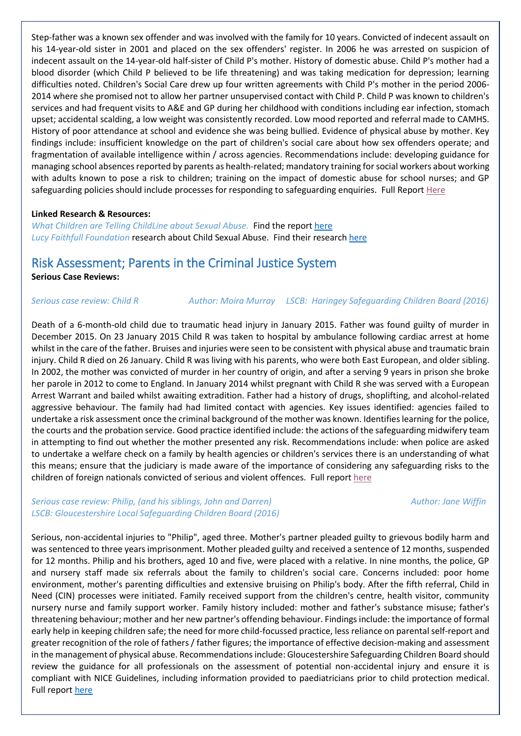Step-father was a known sex offender and was involved with the family for 10 years. Convicted of indecent assault on his 14-year-old sister in 2001 and placed on the sex offenders' register. In 2006 he was arrested on suspicion of indecent assault on the 14-year-old half-sister of Child P's mother. History of domestic abuse. Child P's mother had a blood disorder (which Child P believed to be life threatening) and was taking medication for depression; learning difficulties noted. Children's Social Care drew up four written agreements with Child P's mother in the period 2006- 2014 where she promised not to allow her partner unsupervised contact with Child P. Child P was known to children's services and had frequent visits to A&E and GP during her childhood with conditions including ear infection, stomach upset; accidental scalding, a low weight was consistently recorded. Low mood reported and referral made to CAMHS. History of poor attendance at school and evidence she was being bullied. Evidence of physical abuse by mother. Key findings include: insufficient knowledge on the part of children's social care about how sex offenders operate; and fragmentation of available intelligence within / across agencies. Recommendations include: developing guidance for managing school absences reported by parents as health-related; mandatory training for social workers about working with adults known to pose a risk to children; training on the impact of domestic abuse for school nurses; and GP safeguarding policies should include processes for responding to safeguarding enquiries. Full Report [Here](https://library.nspcc.org.uk/HeritageScripts/Hapi.dll/filetransfer/2016norfolkchildpoverview.pdf?filename=AA58F75CEDE68892A73FB681FE246B8371684F102172D08A780A14959D3BCE5747137B3B2A935011CB8EC3068664FF481AA6D2524E357BABB6C006752CCD7567598D77BD1E189823A55CFAAE5492EE64F46C611AD1526BE1AC50776135E5AAAFFECACF7BEF0B7AE12CA7338D5DEC15E07D37ED47D3BF2FE25DEB924DAF674EA45A547128E0B2171F9DBD1BBEF3369E2311A913062E45&DataSetName=LIVEDATA)

#### **Linked Research & Resources:**

*What Children are Telling ChildLine about Sexual Abuse.* Find the report [here](https://www.nspcc.org.uk/globalassets/documents/research-reports/getting-help-childline-sexual-abuse-children-accessing-services.pdf) *Lucy Faithfull Foundation* research about Child Sexual Abuse. Find their research [here](https://www.lucyfaithfull.org.uk/our-research.htm)

## Risk Assessment; Parents in the Criminal Justice System

**Serious Case Reviews:**

*Serious case review: Child R Author: Moira [Murray](https://library.nspcc.org.uk/HeritageScripts/Hapi.dll/search2?SearchTerm=MOIRA+MURRAY&Fields=A&Media=%23&Dispfmt=B&SearchPrecision=10&DataSetName=LIVEDATA) LSCB: [Haringey Safeguarding Children Board](https://library.nspcc.org.uk/HeritageScripts/Hapi.dll/search2?SearchTerm=HARINGEY+SAFEGUARDING+CHILDREN+BOARD&Fields=P&Media=%23&Dispfmt=B&SearchPrecision=10&DataSetName=LIVEDATA) (2016)*

Death of a 6-month-old child due to traumatic head injury in January 2015. Father was found guilty of murder in December 2015. On 23 January 2015 Child R was taken to hospital by ambulance following cardiac arrest at home whilst in the care of the father. Bruises and injuries were seen to be consistent with physical abuse and traumatic brain injury. Child R died on 26 January. Child R was living with his parents, who were both East European, and older sibling. In 2002, the mother was convicted of murder in her country of origin, and after a serving 9 years in prison she broke her parole in 2012 to come to England. In January 2014 whilst pregnant with Child R she was served with a European Arrest Warrant and bailed whilst awaiting extradition. Father had a history of drugs, shoplifting, and alcohol-related aggressive behaviour. The family had had limited contact with agencies. Key issues identified: agencies failed to undertake a risk assessment once the criminal background of the mother was known. Identifies learning for the police, the courts and the probation service. Good practice identified include: the actions of the safeguarding midwifery team in attempting to find out whether the mother presented any risk. Recommendations include: when police are asked to undertake a welfare check on a family by health agencies or children's services there is an understanding of what this means; ensure that the judiciary is made aware of the importance of considering any safeguarding risks to the children of foreign nationals convicted of serious and violent offences. Full report [here](https://library.nspcc.org.uk/HeritageScripts/Hapi.dll/filetransfer/2016HaringeyChildROverview.pdf?filename=AA58F75CEDE68892A73FB681FE246B8371684F102152F0AA780A14959D3BCE5767137B3B2A935011CBAEC3068664FF681AA6D2524E357BAB96C006752CCD756759AD77BD1E389823A55CFAAE74B2EE64F46C611AD1724BE1AC50776135E5AAAFFECACF7BEF2D74E123A6388347C714E57523D07EC0A82BFD51F9CB13BB656A197843CE048102E742C3FD100AB81CCB3496ECA57C28D361&DataSetName=LIVEDATA)

#### *Serious case review: Philip, (and his siblings, John and Darren)* Author: *Jane [Wiffin](https://library.nspcc.org.uk/HeritageScripts/Hapi.dll/search2?SearchTerm=JANE+WIFFIN&Fields=A&Media=%23&Dispfmt=B&SearchPrecision=10&DataSetName=LIVEDATA) LSCB: [Gloucestershire Local Safeguarding Children Board](https://library.nspcc.org.uk/HeritageScripts/Hapi.dll/search2?SearchTerm=GLOUCESTERSHIRE+LOCAL+SAFEGUARDING+CHILDREN+BOARD&Fields=P&Media=%23&Dispfmt=B&SearchPrecision=10&DataSetName=LIVEDATA) (2016)*

Serious, non-accidental injuries to "Philip", aged three. Mother's partner pleaded guilty to grievous bodily harm and was sentenced to three years imprisonment. Mother pleaded guilty and received a sentence of 12 months, suspended for 12 months. Philip and his brothers, aged 10 and five, were placed with a relative. In nine months, the police, GP and nursery staff made six referrals about the family to children's social care. Concerns included: poor home environment, mother's parenting difficulties and extensive bruising on Philip's body. After the fifth referral, Child in Need (CIN) processes were initiated. Family received support from the children's centre, health visitor, community nursery nurse and family support worker. Family history included: mother and father's substance misuse; father's threatening behaviour; mother and her new partner's offending behaviour. Findings include: the importance of formal early help in keeping children safe; the need for more child-focussed practice, less reliance on parental self-report and greater recognition of the role of fathers / father figures; the importance of effective decision-making and assessment in the management of physical abuse. Recommendations include: Gloucestershire Safeguarding Children Board should review the guidance for all professionals on the assessment of potential non-accidental injury and ensure it is compliant with NICE Guidelines, including information provided to paediatricians prior to child protection medical. Full report [here](https://library.nspcc.org.uk/HeritageScripts/Hapi.dll/filetransfer/2016GloucestershirePhilipOverview.pdf?filename=AA58F75CEDE68892A73FB681FE246B8371684F102152F0AA780A14959D3BCE5767137B3B2A935011CBAEC3068664FF681AA6D2524E357BAB96C006752CCD756759AD77BD1E389823A55CFAAE74B2EE64F46C611AD1724BE1AC50776135E5AAAFFECACF7BEF2279FC3FAB3A954AE10EFF712EF054E6A530E751ECF34BAE737A3AD92BE2C97494EBD23CE4DFD8970677B51162402A1F4F6B62DB55516C80B4&DataSetName=LIVEDATA)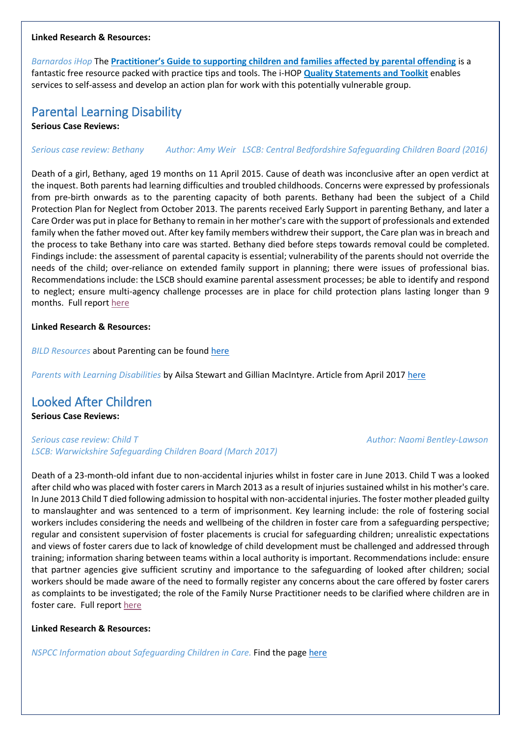#### **Linked Research & Resources:**

*Barnardos iHop* The **[Practitioner's Guide to supporting children and families affected by parental offending](https://www.i-hop.org.uk/app/answers/detail/a_id/886)** is a fantastic free resource packed with practice tips and tools. The i-HOP **[Quality Statements and Toolkit](https://www.i-hop.org.uk/app/answers/detail/a_id/759)** enables services to self-assess and develop an action plan for work with this potentially vulnerable group.

## Parental Learning Disability

**Serious Case Reviews:**

*Serious case review: Bethany Author: Amy [Weir](https://library.nspcc.org.uk/HeritageScripts/Hapi.dll/search2?SearchTerm=AMY+WEIR&Fields=A&Media=%23&Dispfmt=B&SearchPrecision=10&DataSetName=LIVEDATA) LSCB: [Central Bedfordshire Safeguarding Children Board](https://library.nspcc.org.uk/HeritageScripts/Hapi.dll/search2?SearchTerm=CENTRAL+BEDFORDSHIRE+SAFEGUARDING+CHILDREN+BOARD&Fields=P&Media=%23&Dispfmt=B&SearchPrecision=10&DataSetName=LIVEDATA) (2016)*

Death of a girl, Bethany, aged 19 months on 11 April 2015. Cause of death was inconclusive after an open verdict at the inquest. Both parents had learning difficulties and troubled childhoods. Concerns were expressed by professionals from pre-birth onwards as to the parenting capacity of both parents. Bethany had been the subject of a Child Protection Plan for Neglect from October 2013. The parents received Early Support in parenting Bethany, and later a Care Order was put in place for Bethany to remain in her mother's care with the support of professionals and extended family when the father moved out. After key family members withdrew their support, the Care plan was in breach and the process to take Bethany into care was started. Bethany died before steps towards removal could be completed. Findings include: the assessment of parental capacity is essential; vulnerability of the parents should not override the needs of the child; over-reliance on extended family support in planning; there were issues of professional bias. Recommendations include: the LSCB should examine parental assessment processes; be able to identify and respond to neglect; ensure multi-agency challenge processes are in place for child protection plans lasting longer than 9 months. Full report [here](https://library.nspcc.org.uk/HeritageScripts/Hapi.dll/filetransfer/2016CentralBedfordshireBethanyOverview.pdf?filename=AA58F75CEDE68892A73FB681FE246B8371684F102152F0AA780A14959D3BCE5767137B3B2A935011CBAEC3068664FF681AA6D2524E357BAB96C006752CCD756759AD77BD1E389823A55CFAAE74B2EE64F46C611AD1724BE1AC50776135E5AAAFFECACF7BEF2670FD3EBA3E8A7CE118EA7635E642DEA42BEE7AF9C855AA6F751CCA39BECF7997D0B1A8AA04E63989B97261D310EEDEAA594EA4104CB85E2CDB686FE1A4&DataSetName=LIVEDATA)

#### **Linked Research & Resources:**

*BILD Resources* about Parenting can be found [here](http://www.bild.org.uk/resources/useful-resources/parenting-to-workforce/#Parenting)

*Parents with Learning Disabilities* by [Ailsa Stewart](https://www.iriss.org.uk/authors/ailsa-stewart) and [Gillian MacIntyre.](https://www.iriss.org.uk/authors/gillian-macintyre) Article from April 2017 [here](https://www.iriss.org.uk/resources/insights/parents-learning-disabilities)

## Looked After Children

**Serious Case Reviews:**

*Serious case review: Child T Author: Naomi [Bentley-Lawson](https://library.nspcc.org.uk/HeritageScripts/Hapi.dll/search2?SearchTerm=NAOMI+BENTLEY+LAWSON&Fields=A&Media=%23&Dispfmt=B&SearchPrecision=10&DataSetName=LIVEDATA) LSCB: [Warwickshire Safeguarding Children Board](https://library.nspcc.org.uk/HeritageScripts/Hapi.dll/search2?SearchTerm=WARWICKSHIRE+SAFEGUARDING+CHILDREN+BOARD&Fields=P&Media=%23&Dispfmt=B&SearchPrecision=10&DataSetName=LIVEDATA) (March 2017)*

Death of a 23-month-old infant due to non-accidental injuries whilst in foster care in June 2013. Child T was a looked after child who was placed with foster carers in March 2013 as a result of injuries sustained whilst in his mother's care. In June 2013 Child T died following admission to hospital with non-accidental injuries. The foster mother pleaded guilty to manslaughter and was sentenced to a term of imprisonment. Key learning include: the role of fostering social workers includes considering the needs and wellbeing of the children in foster care from a safeguarding perspective; regular and consistent supervision of foster placements is crucial for safeguarding children; unrealistic expectations and views of foster carers due to lack of knowledge of child development must be challenged and addressed through training; information sharing between teams within a local authority is important. Recommendations include: ensure that partner agencies give sufficient scrutiny and importance to the safeguarding of looked after children; social workers should be made aware of the need to formally register any concerns about the care offered by foster carers as complaints to be investigated; the role of the Family Nurse Practitioner needs to be clarified where children are in foster care. Full report [here](https://library.nspcc.org.uk/HeritageScripts/Hapi.dll/filetransfer/2017WarwickshireChildTOverview.pdf?filename=AA58F75CEDE68892A73FB681FE246B8371684F102152F0AA780A14959D3BCE5767137B3B2A935011CBAEC3068664FF681AA6D2524E357BAB96C006752CCD756759AD77BD1E389823A55CFAAE74B2EE64F46C611AD1724BE1AC50776135E4AAAFFECACF7BEE3274E13DA13C8D4DEC15FE7C04EA58DAA90DC44EF9CE4BA2647B7DCC38AAC4E52C9E22493E22D3533ED9DC64009DF489A934E4D21B69&DataSetName=LIVEDATA)

**Linked Research & Resources:**

*NSPCC Information about Safeguarding Children in Care.* Find the page [here](https://www.nspcc.org.uk/preventing-abuse/child-protection-system/children-in-care/safeguarding/)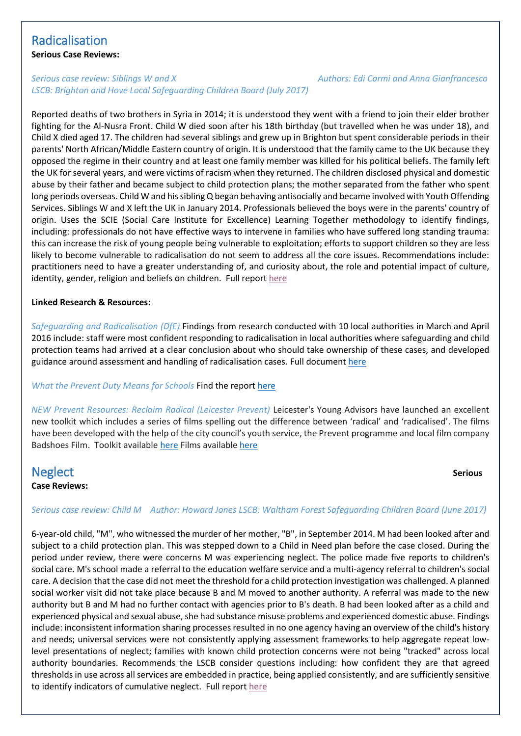## Radicalisation

**Serious Case Reviews:**

### *Serious case review: Siblings W and X Authors: Edi [Carmi](https://library.nspcc.org.uk/HeritageScripts/Hapi.dll/search2?SearchTerm=EDI+CARMI&Fields=A&Media=%23&Dispfmt=B&SearchPrecision=10&DataSetName=LIVEDATA) and Anna [Gianfrancesco](https://library.nspcc.org.uk/HeritageScripts/Hapi.dll/search2?SearchTerm=ANNA+GIANFRANCESCO&Fields=A&Media=%23&Dispfmt=B&SearchPrecision=10&DataSetName=LIVEDATA) LSCB: [Brighton and Hove Local Safeguarding Children Board](https://library.nspcc.org.uk/HeritageScripts/Hapi.dll/search2?SearchTerm=BRIGHTON+AND+HOVE+LOCAL+SAFEGUARDING+CHILDREN+BOARD&Fields=P&Media=%23&Dispfmt=B&SearchPrecision=10&DataSetName=LIVEDATA) (July 2017)*

Reported deaths of two brothers in Syria in 2014; it is understood they went with a friend to join their elder brother fighting for the Al-Nusra Front. Child W died soon after his 18th birthday (but travelled when he was under 18), and Child X died aged 17. The children had several siblings and grew up in Brighton but spent considerable periods in their parents' North African/Middle Eastern country of origin. It is understood that the family came to the UK because they opposed the regime in their country and at least one family member was killed for his political beliefs. The family left the UK for several years, and were victims of racism when they returned. The children disclosed physical and domestic abuse by their father and became subject to child protection plans; the mother separated from the father who spent long periods overseas. Child W and his sibling Q began behaving antisocially and became involved with Youth Offending Services. Siblings W and X left the UK in January 2014. Professionals believed the boys were in the parents' country of origin. Uses the SCIE (Social Care Institute for Excellence) Learning Together methodology to identify findings, including: professionals do not have effective ways to intervene in families who have suffered long standing trauma: this can increase the risk of young people being vulnerable to exploitation; efforts to support children so they are less likely to become vulnerable to radicalisation do not seem to address all the core issues. Recommendations include: practitioners need to have a greater understanding of, and curiosity about, the role and potential impact of culture, identity, gender, religion and beliefs on children. Full report [here](https://library.nspcc.org.uk/HeritageScripts/Hapi.dll/filetransfer/2017BrightonAndHoveSiblingsWAndXOverview.pdf?filename=AA58F75CEDE68892A73FB681FE246B8371684F102152F0AA780A14959D3BCE5767137B3B2A935011CBAEC3068664FF681AA6D2524E357BAB96C006752CCD756759AD77BD1E389823A55CFAAE74B2EE64F46C611AD1724BE1AC50776135E4AAAFFECACF7BEE2767FA2DA02B8950C512E85128F454E5A43BE751F2DB4E9C406237E413BADC6284CEFAAFE0122D01189CE3B19EC1775B3372588AF6797C7FFDD1A55A755C5E24&DataSetName=LIVEDATA)

#### **Linked Research & Resources:**

*Safeguarding and Radicalisation (DfE)* Findings from research conducted with 10 local authorities in March and April 2016 include: staff were most confident responding to radicalisation in local authorities where safeguarding and child protection teams had arrived at a clear conclusion about who should take ownership of these cases, and developed guidance around assessment and handling of radicalisation cases*.* Full document [here](https://www.gov.uk/government/uploads/system/uploads/attachment_data/file/635262/Safeguarding_and_Radicalisation.pdf)

### *What the Prevent Duty Means for Schools* Find the report [here](http://azizfoundation.org.uk/wp-content/uploads/2017/07/What-the-Prevent-Duty-means-for-schools-and-colleges-in-England.pdf)

*NEW Prevent Resources: Reclaim Radical (Leicester Prevent)* Leicester's Young Advisors have launched an excellent new toolkit which includes a series of films spelling out the difference between 'radical' and 'radicalised'. The films have been developed with the help of the city council's youth service, the Prevent programme and local film company Badshoes Film. Toolkit available [here](http://www.leicesterprevent.co.uk/wp-content/uploads/2017/09/Reclaim-Radical-Final-2017.pdf?mc_cid=1623fa4fd3&mc_eid=a3bc4ba262) Films available [here](https://www.youtube.com/playlist?list=PL4_r-tLAparSiBlldt0tY7D298hC2bQow)

# **Neglect** Serious **Serious**

### **Case Reviews:**

#### *Serious case review: Child M Author: [Howard](https://library.nspcc.org.uk/HeritageScripts/Hapi.dll/search2?SearchTerm=HOWARD+JONES&Fields=A&Media=%23&Dispfmt=B&SearchPrecision=10&DataSetName=LIVEDATA) Jones LSCB: [Waltham Forest Safeguarding Children Board](https://library.nspcc.org.uk/HeritageScripts/Hapi.dll/search2?SearchTerm=WALTHAM+FOREST+SAFEGUARDING+CHILDREN+BOARD&Fields=P&Media=%23&Dispfmt=B&SearchPrecision=10&DataSetName=LIVEDATA) (June 2017)*

6-year-old child, "M", who witnessed the murder of her mother, "B", in September 2014. M had been looked after and subject to a child protection plan. This was stepped down to a Child in Need plan before the case closed. During the period under review, there were concerns M was experiencing neglect. The police made five reports to children's social care. M's school made a referral to the education welfare service and a multi-agency referral to children's social care. A decision that the case did not meet the threshold for a child protection investigation was challenged. A planned social worker visit did not take place because B and M moved to another authority. A referral was made to the new authority but B and M had no further contact with agencies prior to B's death. B had been looked after as a child and experienced physical and sexual abuse, she had substance misuse problems and experienced domestic abuse. Findings include: inconsistent information sharing processes resulted in no one agency having an overview of the child's history and needs; universal services were not consistently applying assessment frameworks to help aggregate repeat lowlevel presentations of neglect; families with known child protection concerns were not being "tracked" across local authority boundaries. Recommends the LSCB consider questions including: how confident they are that agreed thresholds in use across all services are embedded in practice, being applied consistently, and are sufficiently sensitive to identify indicators of cumulative neglect. Full repor[t here](https://library.nspcc.org.uk/HeritageScripts/Hapi.dll/filetransfer/2017WalthamForestChildMOverview.pdf?filename=AA58F75CEDE68892A73FB681FE246B8371684F102152F0AA780A14959D3BCE5767137B3B2A935011CBAEC3068664FF681AA6D2524E357BAB96C006752CCD756759AD77BD1E389823A55CFAAE74B2EE64F46C611AD1724BE1AC50776135E4AAAFFECACF7BEE3274FF3EA03E8B78EB0EE96A33C159DFA13DC677EAD94FBD686924922CA8DFAC85A8D9655F920964E4253DCF2F262B4604B21811E57323&DataSetName=LIVEDATA)